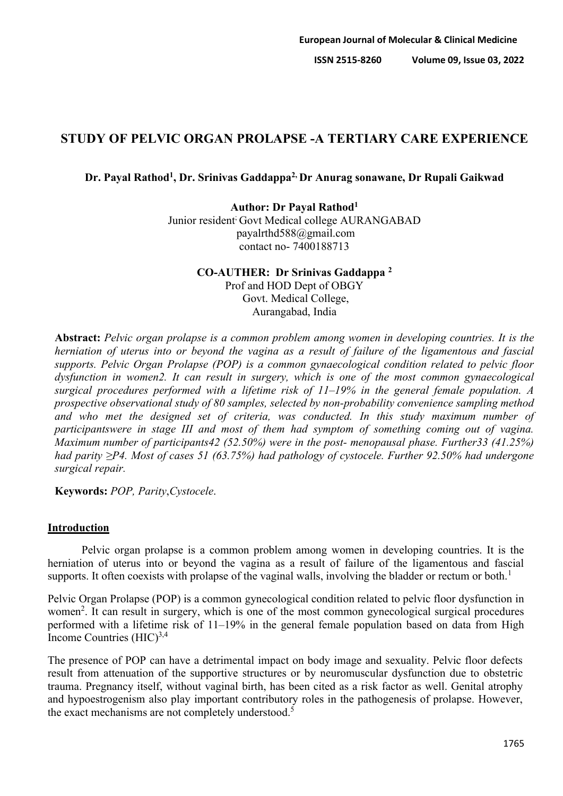# **STUDY OF PELVIC ORGAN PROLAPSE -A TERTIARY CARE EXPERIENCE**

### **Dr. Payal Rathod1, Dr. Srinivas Gaddappa2, Dr Anurag sonawane, Dr Rupali Gaikwad**

**Author: Dr Payal Rathod1** Junior resident<sup>;</sup> Govt Medical college AURANGABAD payalrthd588@gmail.com contact no- 7400188713

### **CO-AUTHER: Dr Srinivas Gaddappa 2** Prof and HOD Dept of OBGY Govt. Medical College, Aurangabad, India

**Abstract:** *Pelvic organ prolapse is a common problem among women in developing countries. It is the herniation of uterus into or beyond the vagina as a result of failure of the ligamentous and fascial supports. Pelvic Organ Prolapse (POP) is a common gynaecological condition related to pelvic floor dysfunction in women2. It can result in surgery, which is one of the most common gynaecological surgical procedures performed with a lifetime risk of 11–19% in the general female population. A prospective observational study of 80 samples, selected by non-probability convenience sampling method and who met the designed set of criteria, was conducted. In this study maximum number of participantswere in stage III and most of them had symptom of something coming out of vagina. Maximum number of participants42 (52.50%) were in the post- menopausal phase. Further33 (41.25%) had parity ≥P4. Most of cases 51 (63.75%) had pathology of cystocele. Further 92.50% had undergone surgical repair.*

**Keywords:** *POP, Parity*,*Cystocele*.

### **Introduction**

Pelvic organ prolapse is a common problem among women in developing countries. It is the herniation of uterus into or beyond the vagina as a result of failure of the ligamentous and fascial supports. It often coexists with prolapse of the vaginal walls, involving the bladder or rectum or both.<sup>1</sup>

Pelvic Organ Prolapse (POP) is a common gynecological condition related to pelvic floor dysfunction in women<sup>2</sup>. It can result in surgery, which is one of the most common gynecological surgical procedures performed with a lifetime risk of 11–19% in the general female population based on data from High Income Countries  $(HIC)^{3,4}$ 

The presence of POP can have a detrimental impact on body image and sexuality. Pelvic floor defects result from attenuation of the supportive structures or by neuromuscular dysfunction due to obstetric trauma. Pregnancy itself, without vaginal birth, has been cited as a risk factor as well. Genital atrophy and hypoestrogenism also play important contributory roles in the pathogenesis of prolapse. However, the exact mechanisms are not completely understood.<sup>5</sup>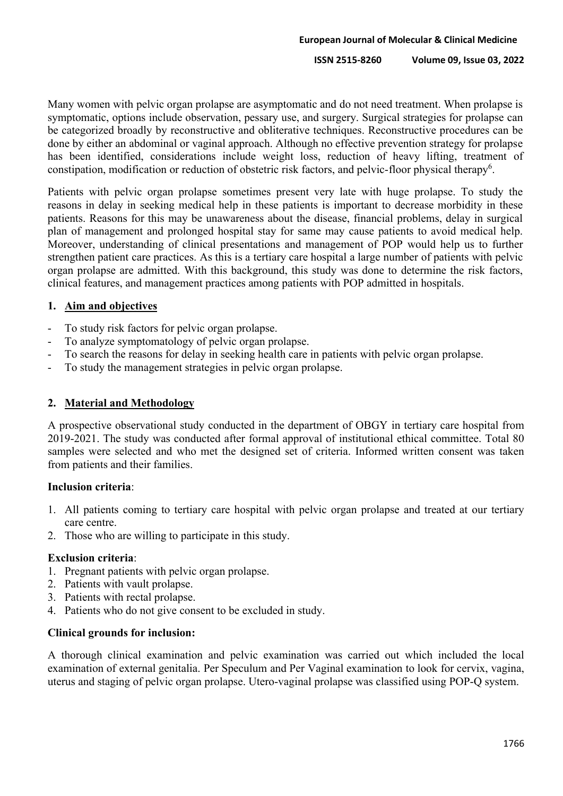Many women with pelvic organ prolapse are asymptomatic and do not need treatment. When prolapse is symptomatic, options include observation, pessary use, and surgery. Surgical strategies for prolapse can be categorized broadly by reconstructive and obliterative techniques. Reconstructive procedures can be done by either an abdominal or vaginal approach. Although no effective prevention strategy for prolapse has been identified, considerations include weight loss, reduction of heavy lifting, treatment of constipation, modification or reduction of obstetric risk factors, and pelvic-floor physical therapy<sup>6</sup>.

Patients with pelvic organ prolapse sometimes present very late with huge prolapse. To study the reasons in delay in seeking medical help in these patients is important to decrease morbidity in these patients. Reasons for this may be unawareness about the disease, financial problems, delay in surgical plan of management and prolonged hospital stay for same may cause patients to avoid medical help. Moreover, understanding of clinical presentations and management of POP would help us to further strengthen patient care practices. As this is a tertiary care hospital a large number of patients with pelvic organ prolapse are admitted. With this background, this study was done to determine the risk factors, clinical features, and management practices among patients with POP admitted in hospitals.

### **1. Aim and objectives**

- To study risk factors for pelvic organ prolapse.
- To analyze symptomatology of pelvic organ prolapse.
- To search the reasons for delay in seeking health care in patients with pelvic organ prolapse.
- To study the management strategies in pelvic organ prolapse.

### **2. Material and Methodology**

A prospective observational study conducted in the department of OBGY in tertiary care hospital from 2019-2021. The study was conducted after formal approval of institutional ethical committee. Total 80 samples were selected and who met the designed set of criteria. Informed written consent was taken from patients and their families.

### **Inclusion criteria**:

- 1. All patients coming to tertiary care hospital with pelvic organ prolapse and treated at our tertiary care centre.
- 2. Those who are willing to participate in this study.

### **Exclusion criteria**:

- 1. Pregnant patients with pelvic organ prolapse.
- 2. Patients with vault prolapse.
- 3. Patients with rectal prolapse.
- 4. Patients who do not give consent to be excluded in study.

### **Clinical grounds for inclusion:**

A thorough clinical examination and pelvic examination was carried out which included the local examination of external genitalia. Per Speculum and Per Vaginal examination to look for cervix, vagina, uterus and staging of pelvic organ prolapse. Utero-vaginal prolapse was classified using POP-Q system.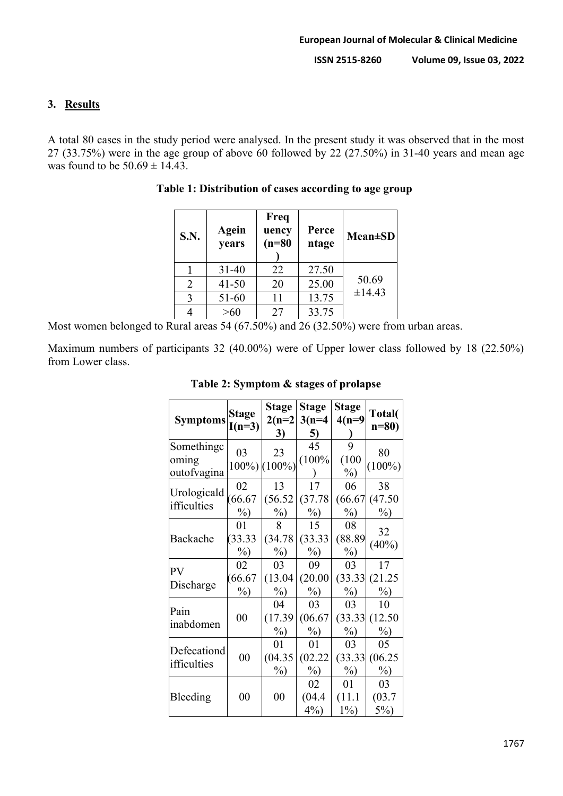## **3. Results**

A total 80 cases in the study period were analysed. In the present study it was observed that in the most 27 (33.75%) were in the age group of above 60 followed by 22 (27.50%) in 31-40 years and mean age was found to be  $50.69 \pm 14.43$ .

| S.N.           | Agein<br>years | Freq<br>uency<br>$(n=80)$ | Perce<br>ntage | $Mean \pm SD$ |
|----------------|----------------|---------------------------|----------------|---------------|
|                | $31 - 40$      | 22                        | 27.50          |               |
| $\overline{2}$ | $41 - 50$      | 20                        | 25.00          | 50.69         |
| 3              | 51-60          | 11                        | 13.75          | ±14.43        |
|                | >60            | 27                        | 33.75          |               |

**Table 1: Distribution of cases according to age group**

Most women belonged to Rural areas 54 (67.50%) and 26 (32.50%) were from urban areas.

Maximum numbers of participants 32 (40.00%) were of Upper lower class followed by 18 (22.50%) from Lower class.

| <b>Symptoms</b>                    | <b>Stage</b><br>$I(n=3)$ | Stage<br>$2(n=2)$<br>3) | <b>Stage</b><br>$3(n=4)$<br>5) | <b>Stage</b><br>$4(n=9)$ | Total(<br>$n=80$             |
|------------------------------------|--------------------------|-------------------------|--------------------------------|--------------------------|------------------------------|
| Somethingc<br>oming<br>outofvagina | 03                       | 23<br>100%) (100%)      | 45<br>(100%                    | 9<br>(100)<br>$\%$ )     | 80<br>$(100\%)$              |
| Urologicald<br>ifficulties         | 02<br>(66.67)<br>$\%$    | 13<br>(56.52)<br>$\%$   | 17<br>(37.78)<br>$\%$          | 06<br>(66.67)<br>$\%$    | 38<br>(47.50)<br>$\%$        |
| Backache                           | 01<br>(33.33)<br>$\%$    | 8<br>(34.78)<br>$\%$    | 15<br>(33.33)<br>$\%$          | 08<br>(88.89)<br>$\%$    | 32<br>(40%)                  |
| <b>PV</b><br>Discharge             | 02<br>(66.67)<br>$\%$    | 03<br>(13.04)<br>$\%$ ) | 09<br>(20.00)<br>$\%$ )        | 03<br>$\%$               | 17<br>(33.33)(21.25)<br>$\%$ |
| Pain<br>inabdomen                  | $00\,$                   | 04<br>(17.39)<br>$\%$ ) | 03<br>(06.67)<br>$\%$          | 03<br>$\%$               | 10<br>(33.33)(12.50)<br>$\%$ |
| Defecationd<br>ifficulties         | $00\,$                   | 01<br>(04.35)<br>$\%$   | 01<br>(02.22)<br>$\%$          | 03<br>$\%$               | 05<br>(33.33)(06.25)<br>$\%$ |
| Bleeding                           | $00\,$                   | 00                      | 02<br>(04.4)<br>$4\%)$         | 01<br>(11.1)<br>$1\%)$   | 03<br>(03.7)<br>$5\%)$       |

## **Table 2: Symptom & stages of prolapse**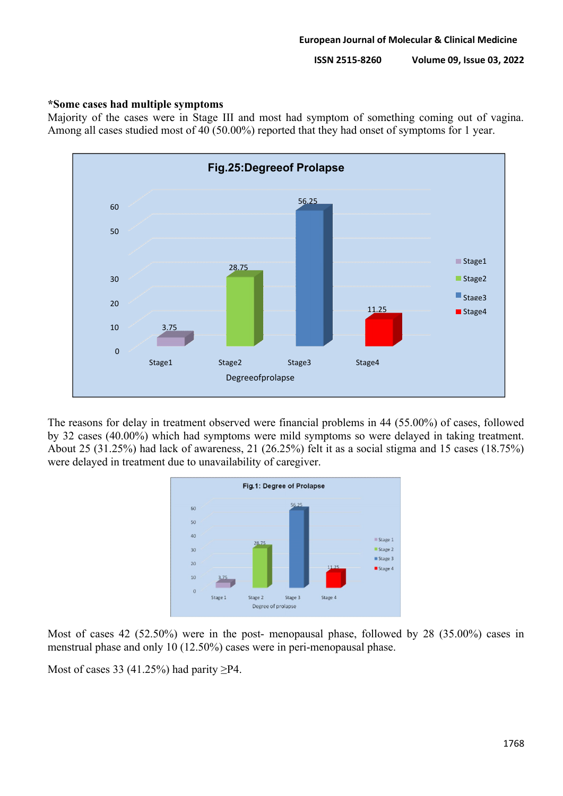## **\*Some cases had multiple symptoms**

Majority of the cases were in Stage III and most had symptom of something coming out of vagina. Among all cases studied most of 40 (50.00%) reported that they had onset of symptoms for 1 year.



The reasons for delay in treatment observed were financial problems in 44 (55.00%) of cases, followed by 32 cases (40.00%) which had symptoms were mild symptoms so were delayed in taking treatment. About 25 (31.25%) had lack of awareness, 21 (26.25%) felt it as a social stigma and 15 cases (18.75%) were delayed in treatment due to unavailability of caregiver.



Most of cases 42 (52.50%) were in the post- menopausal phase, followed by 28 (35.00%) cases in menstrual phase and only 10 (12.50%) cases were in peri-menopausal phase.

Most of cases 33 (41.25%) had parity  $\geq P4$ .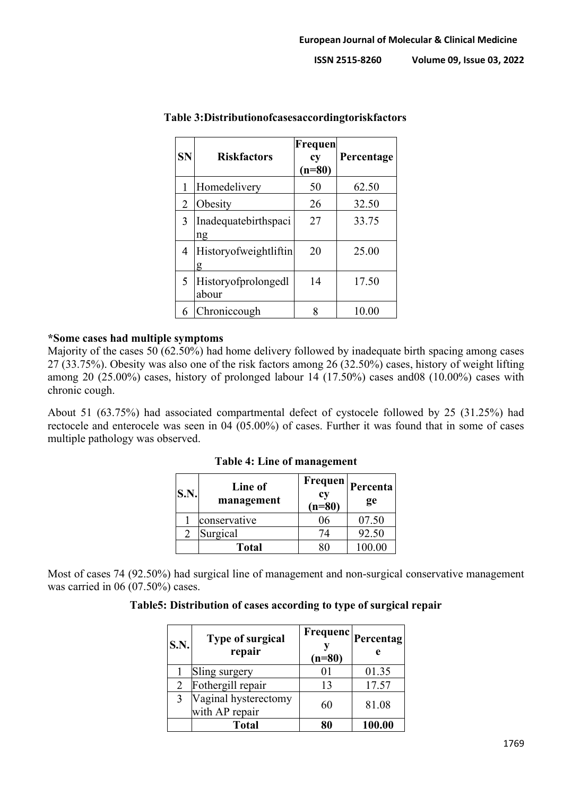| SN             | <b>Riskfactors</b>           | Frequen<br>cy<br>$(n=80)$ | Percentage |
|----------------|------------------------------|---------------------------|------------|
| 1              | Homedelivery                 | 50                        | 62.50      |
| 2              | Obesity                      | 26                        | 32.50      |
| 3              | Inadequatebirthspaci<br>ng   | 27                        | 33.75      |
| 4              | Historyofweightliftin<br>g   | 20                        | 25.00      |
| 5 <sup>5</sup> | Historyofprolongedl<br>abour | 14                        | 17.50      |
| 6              | Chroniccough                 |                           | 10.00      |

### **Table 3:Distributionofcasesaccordingtoriskfactors**

### **\*Some cases had multiple symptoms**

Majority of the cases 50 (62.50%) had home delivery followed by inadequate birth spacing among cases 27 (33.75%). Obesity was also one of the risk factors among 26 (32.50%) cases, history of weight lifting among 20 (25.00%) cases, history of prolonged labour 14 (17.50%) cases and08 (10.00%) cases with chronic cough.

About 51 (63.75%) had associated compartmental defect of cystocele followed by 25 (31.25%) had rectocele and enterocele was seen in 04 (05.00%) of cases. Further it was found that in some of cases multiple pathology was observed.

| <b>S.N.</b> | Line of<br>management | <b>Frequen</b><br>cy<br>$(n=80)$ | Percenta<br>ge |
|-------------|-----------------------|----------------------------------|----------------|
|             | conservative          | 76                               | 07.50          |
|             | Surgical              | 74                               | 92.50          |
|             | <b>Total</b>          |                                  | 100.00         |

**Table 4: Line of management**

Most of cases 74 (92.50%) had surgical line of management and non-surgical conservative management was carried in 06 (07.50%) cases.

### **Table5: Distribution of cases according to type of surgical repair**

| S.N. | <b>Type of surgical</b><br>repair      | $(n=80)$ | $\left  {\text{Frequency}} \right $ Percentag'<br>e |
|------|----------------------------------------|----------|-----------------------------------------------------|
|      | Sling surgery                          |          | 01.35                                               |
| 2    | Fothergill repair                      | 13       | 17.57                                               |
| 3    | Vaginal hysterectomy<br>with AP repair | 60       | 81.08                                               |
|      | <b>Total</b>                           | Ωſ       | 100.00                                              |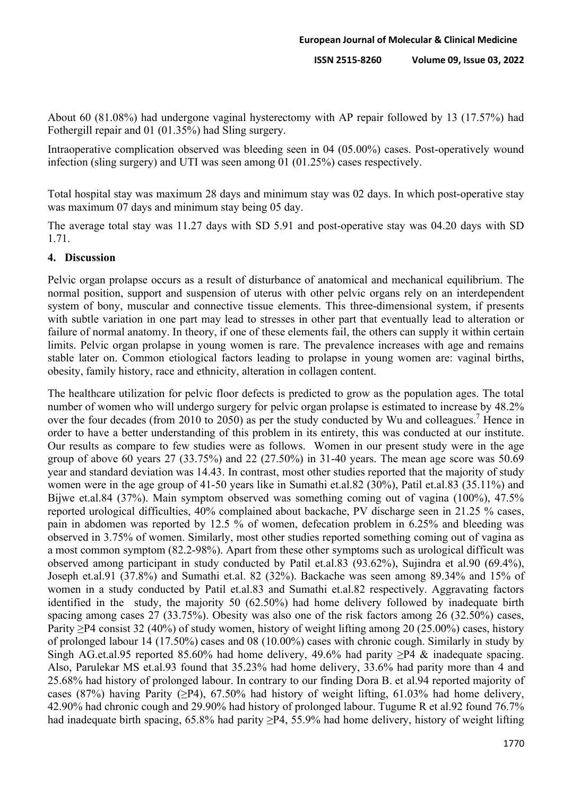About 60 (81.08%) had undergone vaginal hysterectomy with AP repair followed by 13 (17.57%) had Fothergill repair and 01 (01.35%) had Sling surgery.

Intraoperative complication observed was bleeding seen in 04 (05.00%) cases. Post-operatively wound infection (sling surgery) and UTI was seen among 01 (01.25%) cases respectively.

Total hospital stay was maximum 28 days and minimum stay was 02 days. In which post-operative stay was maximum 07 days and minimum stay being 05 day.

The average total stay was 11.27 days with SD 5.91 and post-operative stay was 04.20 days with SD 1.71.

### **4. Discussion**

Pelvic organ prolapse occurs as a result of disturbance of anatomical and mechanical equilibrium. The normal position, support and suspension of uterus with other pelvic organs rely on an interdependent system of bony, muscular and connective tissue elements. This three-dimensional system, if presents with subtle variation in one part may lead to stresses in other part that eventually lead to alteration or failure of normal anatomy. In theory, if one of these elements fail, the others can supply it within certain limits. Pelvic organ prolapse in young women is rare. The prevalence increases with age and remains stable later on. Common etiological factors leading to prolapse in young women are: vaginal births, obesity, family history, race and ethnicity, alteration in collagen content.

The healthcare utilization for pelvic floor defects is predicted to grow as the population ages. The total number of women who will undergo surgery for pelvic organ prolapse is estimated to increase by 48.2% over the four decades (from 2010 to 2050) as per the study conducted by Wu and colleagues.<sup>7</sup> Hence in order to have a better understanding of this problem in its entirety, this was conducted at our institute. Our results as compare to few studies were as follows. Women in our present study were in the age group of above 60 years 27 (33.75%) and 22 (27.50%) in 31-40 years. The mean age score was  $50.69$ year and standard deviation was 14.43. In contrast, most other studies reported that the majority of study women were in the age group of 41-50 years like in Sumathi et.al.82 (30%), Patil et.al.83 (35.11%) and Bijwe et.al.84 (37%). Main symptom observed was something coming out of vagina (100%), 47.5% reported urological difficulties, 40% complained about backache, PV discharge seen in 21.25 % cases, pain in abdomen was reported by 12.5 % of women, defecation problem in 6.25% and bleeding was observed in 3.75% of women. Similarly, most other studies reported something coming out of vagina as a most common symptom (82.2-98%). Apart from these other symptoms such as urological difficult was observed among participant in study conducted by Patil et.al.83 (93.62%), Sujindra et al.90 (69.4%), Joseph et.al.91 (37.8%) and Sumathi et.al. 82 (32%). Backache was seen among 89.34% and 15% of women in a study conducted by Patil et.al.83 and Sumathi et.al.82 respectively. Aggravating factors identified in the study, the majority 50 (62.50%) had home delivery followed by inadequate birth spacing among cases 27 (33.75%). Obesity was also one of the risk factors among 26 (32.50%) cases, Parity ≥P4 consist 32 (40%) of study women, history of weight lifting among 20 (25.00%) cases, history of prolonged labour 14 (17.50%) cases and 08 (10.00%) cases with chronic cough. Similarly in study by Singh AG.et.al.95 reported 85.60% had home delivery, 49.6% had parity  $\geq$ P4 & inadequate spacing. Also, Parulekar MS et.al.93 found that 35.23% had home delivery, 33.6% had parity more than 4 and 25.68% had history of prolonged labour. In contrary to our finding Dora B. et al.94 reported majority of cases (87%) having Parity ( $\geq$ P4), 67.50% had history of weight lifting, 61.03% had home delivery, 42.90% had chronic cough and 29.90% had history of prolonged labour. Tugume R et al.92 found 76.7% had inadequate birth spacing,  $65.8\%$  had parity  $\geq$ P4, 55.9% had home delivery, history of weight lifting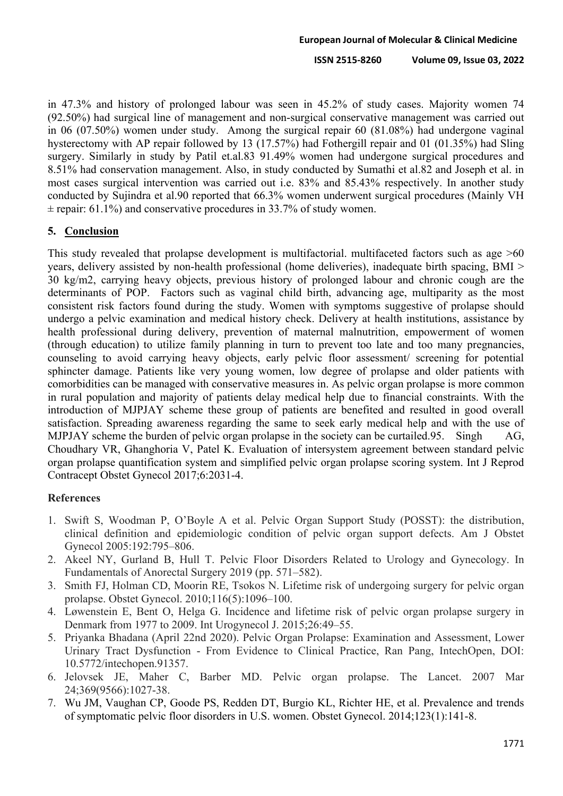in 47.3% and history of prolonged labour was seen in 45.2% of study cases. Majority women 74 (92.50%) had surgical line of management and non-surgical conservative management was carried out in 06 (07.50%) women under study. Among the surgical repair 60 (81.08%) had undergone vaginal hysterectomy with AP repair followed by 13 (17.57%) had Fothergill repair and 01 (01.35%) had Sling surgery. Similarly in study by Patil et.al.83 91.49% women had undergone surgical procedures and 8.51% had conservation management. Also, in study conducted by Sumathi et al.82 and Joseph et al. in most cases surgical intervention was carried out i.e. 83% and 85.43% respectively. In another study conducted by Sujindra et al.90 reported that 66.3% women underwent surgical procedures (Mainly VH  $\pm$  repair: 61.1%) and conservative procedures in 33.7% of study women.

## **5. Conclusion**

This study revealed that prolapse development is multifactorial. multifaceted factors such as age >60 years, delivery assisted by non-health professional (home deliveries), inadequate birth spacing, BMI > 30 kg/m2, carrying heavy objects, previous history of prolonged labour and chronic cough are the determinants of POP. Factors such as vaginal child birth, advancing age, multiparity as the most consistent risk factors found during the study. Women with symptoms suggestive of prolapse should undergo a pelvic examination and medical history check. Delivery at health institutions, assistance by health professional during delivery, prevention of maternal malnutrition, empowerment of women (through education) to utilize family planning in turn to prevent too late and too many pregnancies, counseling to avoid carrying heavy objects, early pelvic floor assessment/ screening for potential sphincter damage. Patients like very young women, low degree of prolapse and older patients with comorbidities can be managed with conservative measures in. As pelvic organ prolapse is more common in rural population and majority of patients delay medical help due to financial constraints. With the introduction of MJPJAY scheme these group of patients are benefited and resulted in good overall satisfaction. Spreading awareness regarding the same to seek early medical help and with the use of MJPJAY scheme the burden of pelvic organ prolapse in the society can be curtailed.95. Singh AG, Choudhary VR, Ghanghoria V, Patel K. Evaluation of intersystem agreement between standard pelvic organ prolapse quantification system and simplified pelvic organ prolapse scoring system. Int J Reprod Contracept Obstet Gynecol 2017;6:2031-4.

## **References**

- 1. Swift S, Woodman P, O'Boyle A et al. Pelvic Organ Support Study (POSST): the distribution, clinical definition and epidemiologic condition of pelvic organ support defects. Am J Obstet Gynecol 2005:192:795–806.
- 2. Akeel NY, Gurland B, Hull T. Pelvic Floor Disorders Related to Urology and Gynecology. In Fundamentals of Anorectal Surgery 2019 (pp. 571–582).
- 3. Smith FJ, Holman CD, Moorin RE, Tsokos N. Lifetime risk of undergoing surgery for pelvic organ prolapse. Obstet Gynecol. 2010;116(5):1096–100.
- 4. Løwenstein E, Bent O, Helga G. Incidence and lifetime risk of pelvic organ prolapse surgery in Denmark from 1977 to 2009. Int Urogynecol J. 2015;26:49–55.
- 5. Priyanka Bhadana (April 22nd 2020). Pelvic Organ Prolapse: Examination and Assessment, Lower Urinary Tract Dysfunction - From Evidence to Clinical Practice, Ran Pang, IntechOpen, DOI: 10.5772/intechopen.91357.
- 6. Jelovsek JE, Maher C, Barber MD. Pelvic organ prolapse. The Lancet. 2007 Mar 24;369(9566):1027-38.
- 7. Wu JM, Vaughan CP, Goode PS, Redden DT, Burgio KL, Richter HE, et al. Prevalence and trends of symptomatic pelvic floor disorders in U.S. women. Obstet Gynecol. 2014;123(1):141-8.